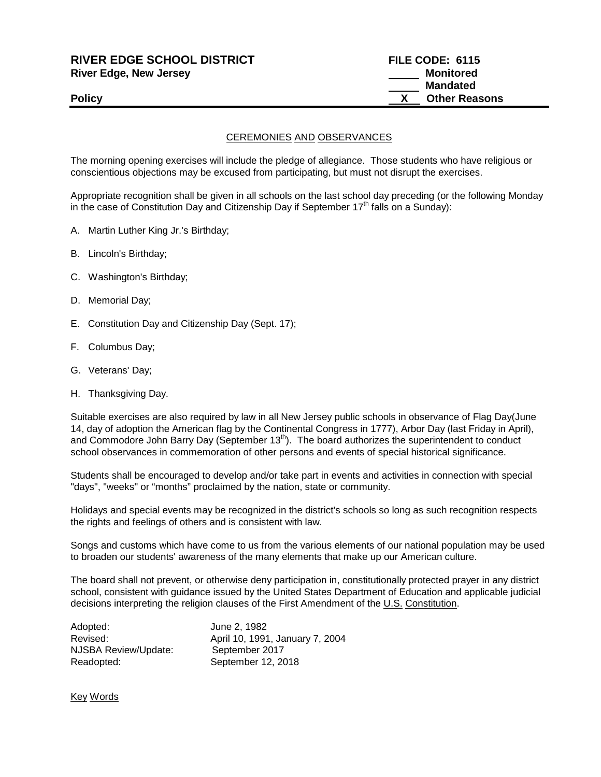| <b>Policy</b>                     | <b>Other Reasons</b> |
|-----------------------------------|----------------------|
|                                   | <b>Mandated</b>      |
| <b>River Edge, New Jersey</b>     | Monitored            |
| <b>RIVER EDGE SCHOOL DISTRICT</b> | FILE CODE: 6115      |

## CEREMONIES AND OBSERVANCES

The morning opening exercises will include the pledge of allegiance. Those students who have religious or conscientious objections may be excused from participating, but must not disrupt the exercises.

Appropriate recognition shall be given in all schools on the last school day preceding (or the following Monday in the case of Constitution Day and Citizenship Day if September  $17<sup>th</sup>$  falls on a Sunday):

- A. Martin Luther King Jr.'s Birthday;
- B. Lincoln's Birthday;
- C. Washington's Birthday;
- D. Memorial Day;
- E. Constitution Day and Citizenship Day (Sept. 17);
- F. Columbus Day;
- G. Veterans' Day;
- H. Thanksgiving Day.

Suitable exercises are also required by law in all New Jersey public schools in observance of Flag Day(June 14, day of adoption the American flag by the Continental Congress in 1777), Arbor Day (last Friday in April), and Commodore John Barry Day (September 13<sup>th</sup>). The board authorizes the superintendent to conduct school observances in commemoration of other persons and events of special historical significance.

Students shall be encouraged to develop and/or take part in events and activities in connection with special "days", "weeks" or "months" proclaimed by the nation, state or community.

Holidays and special events may be recognized in the district's schools so long as such recognition respects the rights and feelings of others and is consistent with law.

Songs and customs which have come to us from the various elements of our national population may be used to broaden our students' awareness of the many elements that make up our American culture.

The board shall not prevent, or otherwise deny participation in, constitutionally protected prayer in any district school, consistent with guidance issued by the United States Department of Education and applicable judicial decisions interpreting the religion clauses of the First Amendment of the U.S. Constitution.

| Adopted:             | June 2, 1982                    |
|----------------------|---------------------------------|
| Revised:             | April 10, 1991, January 7, 2004 |
| NJSBA Review/Update: | September 2017                  |
| Readopted:           | September 12, 2018              |

Key Words